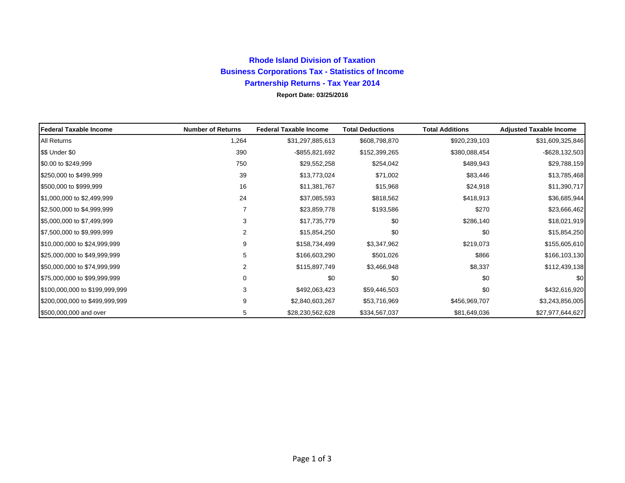## **Rhode Island Division of Taxation Business Corporations Tax - Statistics of Income Partnership Returns - Tax Year 2014**

**Report Date: 03/25/2016**

| Federal Taxable Income         | <b>Number of Returns</b> | <b>Federal Taxable Income</b> | <b>Total Deductions</b> | <b>Total Additions</b> | <b>Adjusted Taxable Income</b> |
|--------------------------------|--------------------------|-------------------------------|-------------------------|------------------------|--------------------------------|
| All Returns                    | 1,264                    | \$31,297,885,613              | \$608,798,870           | \$920,239,103          | \$31,609,325,846               |
| \$\$ Under \$0                 | 390                      | -\$855,821,692                | \$152,399,265           | \$380,088,454          | $-$ \$628,132,503              |
| \$0.00 to \$249,999            | 750                      | \$29,552,258                  | \$254,042               | \$489,943              | \$29,788,159                   |
| \$250,000 to \$499,999         | 39                       | \$13,773,024                  | \$71,002                | \$83,446               | \$13,785,468                   |
| \$500,000 to \$999,999         | 16                       | \$11,381,767                  | \$15,968                | \$24,918               | \$11,390,717                   |
| \$1,000,000 to \$2,499,999     | 24                       | \$37,085,593                  | \$818,562               | \$418,913              | \$36,685,944                   |
| \$2,500,000 to \$4,999,999     | $\overline{7}$           | \$23,859,778                  | \$193,586               | \$270                  | \$23,666,462                   |
| \$5,000,000 to \$7,499,999     | 3                        | \$17,735,779                  | \$0                     | \$286,140              | \$18,021,919                   |
| \$7,500,000 to \$9,999,999     | 2                        | \$15,854,250                  | \$0                     | \$0                    | \$15,854,250                   |
| \$10,000,000 to \$24,999,999   | 9                        | \$158,734,499                 | \$3,347,962             | \$219,073              | \$155,605,610                  |
| \$25,000,000 to \$49,999,999   | 5                        | \$166,603,290                 | \$501,026               | \$866                  | \$166,103,130                  |
| \$50,000,000 to \$74,999,999   | 2                        | \$115,897,749                 | \$3,466,948             | \$8,337                | \$112,439,138                  |
| \$75,000,000 to \$99,999,999   | 0                        | \$0                           | \$0                     | \$0                    | \$0                            |
| \$100,000,000 to \$199,999,999 | 3                        | \$492,063,423                 | \$59,446,503            | \$0                    | \$432,616,920                  |
| \$200,000,000 to \$499,999,999 | 9                        | \$2,840,603,267               | \$53,716,969            | \$456,969,707          | \$3,243,856,005                |
| \$500,000,000 and over         | 5                        | \$28,230,562,628              | \$334,567,037           | \$81,649,036           | \$27,977,644,627               |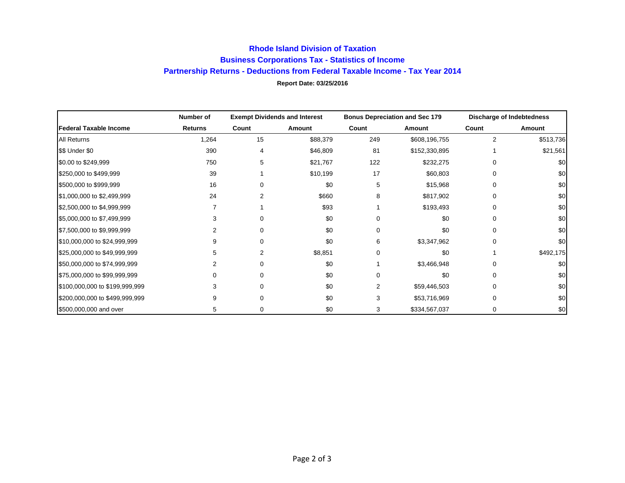## **Rhode Island Division of Taxation Business Corporations Tax - Statistics of Income Partnership Returns - Deductions from Federal Taxable Income - Tax Year 2014 Report Date: 03/25/2016**

|                                | Number of      |       | <b>Exempt Dividends and Interest</b> | <b>Bonus Depreciation and Sec 179</b> |               | Discharge of Indebtedness |           |
|--------------------------------|----------------|-------|--------------------------------------|---------------------------------------|---------------|---------------------------|-----------|
| <b>Federal Taxable Income</b>  | <b>Returns</b> | Count | Amount                               | Count                                 | Amount        | Count                     | Amount    |
| All Returns                    | 1,264          | 15    | \$88,379                             | 249                                   | \$608,196,755 | 2                         | \$513,736 |
| \$\$ Under \$0                 | 390            | 4     | \$46,809                             | 81                                    | \$152,330,895 |                           | \$21,561  |
| \$0.00 to \$249,999            | 750            | 5     | \$21,767                             | 122                                   | \$232,275     |                           | \$0       |
| \$250,000 to \$499,999         | 39             |       | \$10,199                             | 17                                    | \$60,803      | 0                         | \$0       |
| \$500,000 to \$999,999         | 16             |       | \$0                                  | 5                                     | \$15,968      | 0                         | \$0       |
| \$1,000,000 to \$2,499,999     | 24             |       | \$660                                | 8                                     | \$817,902     | 0                         | \$0       |
| \$2,500,000 to \$4,999,999     |                |       | \$93                                 |                                       | \$193,493     | 0                         | \$0       |
| \$5,000,000 to \$7,499,999     |                |       | \$0                                  |                                       | \$0           | 0                         | \$0       |
| \$7,500,000 to \$9,999,999     |                |       | \$0                                  | O                                     | \$0           | O                         | \$0       |
| \$10,000,000 to \$24,999,999   | 9              |       | \$0                                  | 6                                     | \$3,347,962   | O                         | \$0       |
| \$25,000,000 to \$49,999,999   | 5              | 2     | \$8,851                              |                                       | \$0           |                           | \$492,175 |
| \$50,000,000 to \$74,999,999   |                |       | \$0                                  |                                       | \$3,466,948   | 0                         | \$0       |
| \$75,000,000 to \$99,999,999   | $\Omega$       |       | \$0                                  | U                                     | \$0           | 0                         | \$0       |
| \$100,000,000 to \$199,999,999 | 3              |       | \$0                                  | 2                                     | \$59,446,503  | 0                         | \$0       |
| \$200,000,000 to \$499,999,999 | 9              |       | \$0                                  | 3                                     | \$53,716,969  | 0                         | \$0       |
| \$500,000,000 and over         | 5              | 0     | \$0                                  | 3                                     | \$334,567,037 | 0                         | \$0       |